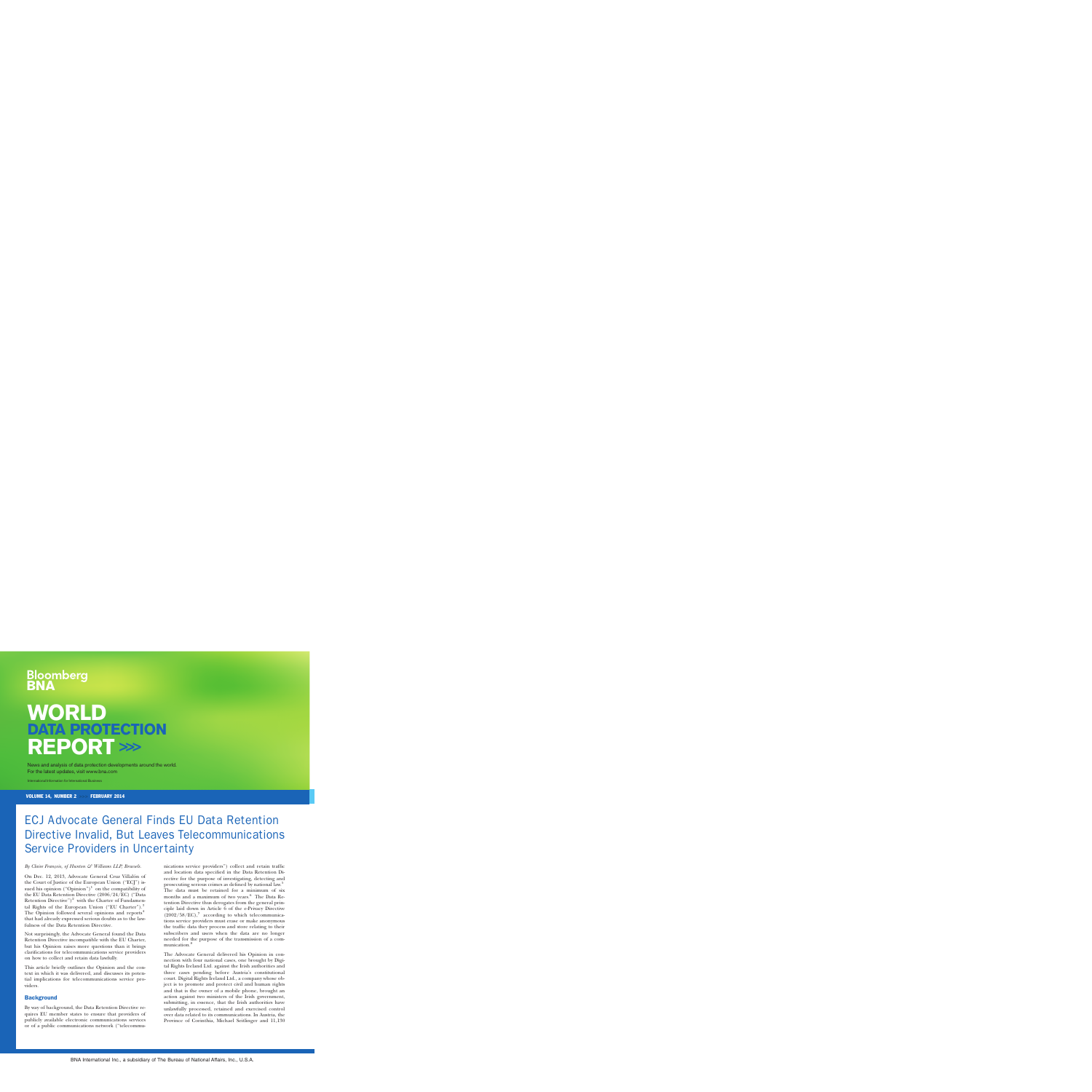# oomberg

## **WORLD DATA PROTECTION REPORT >>>**

News and analysis of data protection developments around the world. For the latest updates, visit www.bna.com

International Information for International Business

VOLUME 14, NUMBER 2 >>> FEBRUARY 2014

### ECJ Advocate General Finds EU Data Retention Directive Invalid, But Leaves Telecommunications Service Providers in Uncertainty

#### By Claire François, of Hunton & Williams LLP, Brussels.

On Dec. 12, 2013, Advocate General Cruz Villalón of the Court of Justice of the European Union ("ECJ") issued his opinion ("Opinion")<sup>1</sup> on the compatibility of the EU Data Retention Directive (2006/24/EC) (''Data Retention Directive")<sup>2</sup> with the Charter of Fundamental Rights of the European Union ("EU Charter").<sup>3</sup> The Opinion followed several opinions and reports<sup>4</sup> that had already expressed serious doubts as to the lawfulness of the Data Retention Directive.

Not surprisingly, the Advocate General found the Data Retention Directive incompatible with the EU Charter, but his Opinion raises more questions than it brings clarifications for telecommunications service providers on how to collect and retain data lawfully.

This article briefly outlines the Opinion and the context in which it was delivered, and discusses its potential implications for telecommunications service providers.

#### **Background**

By way of background, the Data Retention Directive requires EU member states to ensure that providers of publicly available electronic communications services or of a public communications network (''telecommu-

nications service providers'') collect and retain traffic and location data specified in the Data Retention Directive for the purpose of investigating, detecting and prosecuting serious crimes as defined by national law.5 The data must be retained for a minimum of six months and a maximum of two years.<sup>6</sup> The Data Retention Directive thus derogates from the general principle laid down in Article 6 of the e-Privacy Directive  $(2002/58/EC),$ <sup>7</sup> according to which telecommunications service providers must erase or make anonymous the traffic data they process and store relating to their subscribers and users when the data are no longer needed for the purpose of the transmission of a communication.<sup>8</sup>

The Advocate General delivered his Opinion in connection with four national cases, one brought by Digital Rights Ireland Ltd. against the Irish authorities and three cases pending before Austria's constitutional court. Digital Rights Ireland Ltd., a company whose object is to promote and protect civil and human rights and that is the owner of a mobile phone, brought an action against two ministers of the Irish government, submitting, in essence, that the Irish authorities have unlawfully processed, retained and exercised control over data related to its communications. In Austria, the Province of Corinthia, Michael Seitlinger and 11,130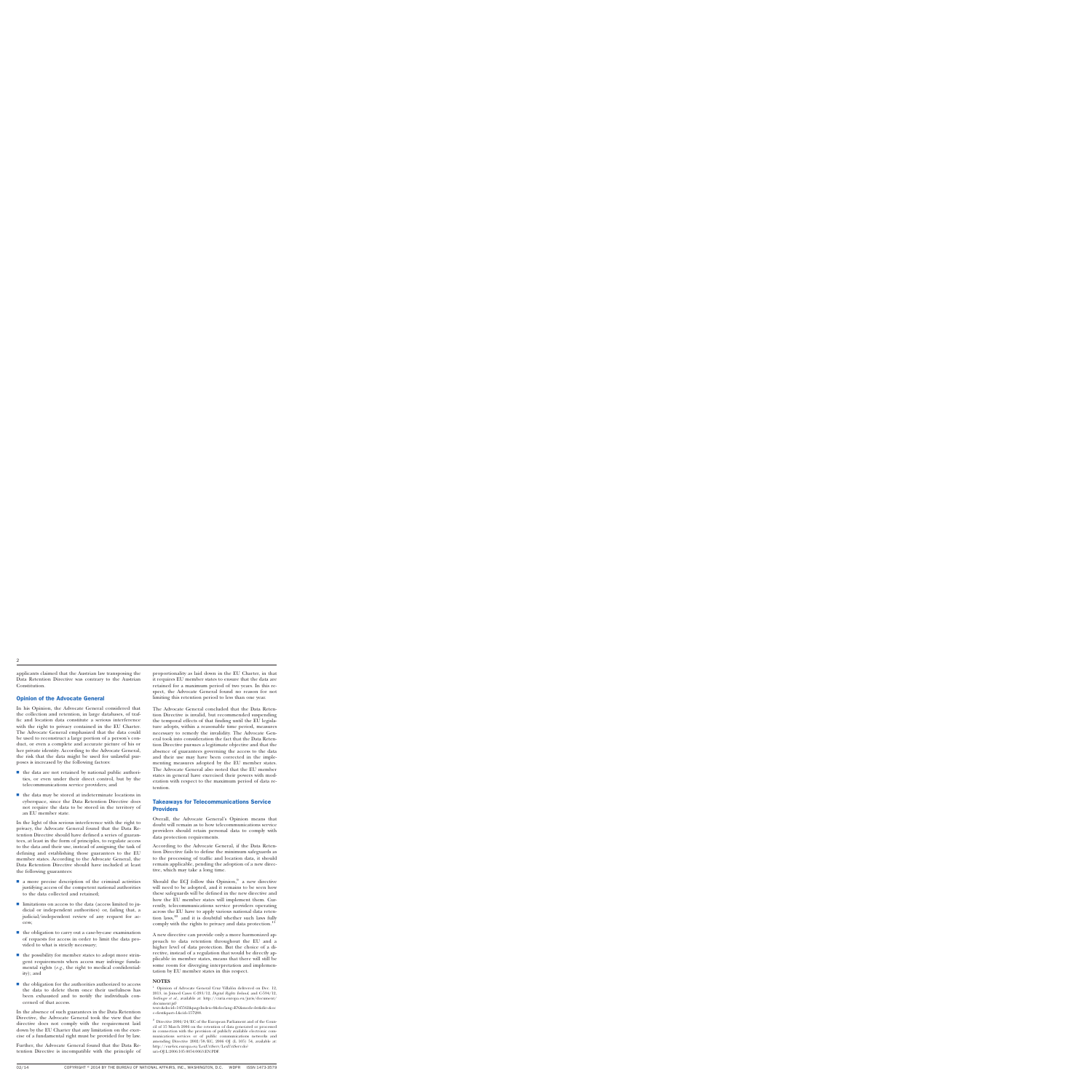applicants claimed that the Austrian law transposing the Data Retention Directive was contrary to the Austrian Constitution.

#### Opinion of the Advocate General

In his Opinion, the Advocate General considered that the collection and retention, in large databases, of traffic and location data constitute a serious interference with the right to privacy contained in the EU Charter. The Advocate General emphasized that the data could be used to reconstruct a large portion of a person's conduct, or even a complete and accurate picture of his or her private identity. According to the Advocate General, the risk that the data might be used for unlawful purposes is increased by the following factors:

- the data are not retained by national public authorities, or even under their direct control, but by the telecommunications service providers; and
- $\blacksquare$  the data may be stored at indeterminate locations in cyberspace, since the Data Retention Directive does not require the data to be stored in the territory of an EU member state.

In the light of this serious interference with the right to privacy, the Advocate General found that the Data Retention Directive should have defined a series of guarantees, at least in the form of principles, to regulate access to the data and their use, instead of assigning the task of defining and establishing those guarantees to the EU member states. According to the Advocate General, the Data Retention Directive should have included at least the following guarantees:

- $\blacksquare$  a more precise description of the criminal activities justifying access of the competent national authorities to the data collected and retained;
- $\blacksquare$  limitations on access to the data (access limited to judicial or independent authorities) or, failing that, a judicial/independent review of any request for access;
- $\blacksquare$  the obligation to carry out a case-by-case examination of requests for access in order to limit the data provided to what is strictly necessary;
- $\blacksquare$  the possibility for member states to adopt more stringent requirements when access may infringe fundamental rights (*e.g.,* the right to medical confidentiality); and
- the obligation for the authorities authorized to access the data to delete them once their usefulness has been exhausted and to notify the individuals concerned of that access.

In the absence of such guarantees in the Data Retention Directive, the Advocate General took the view that the directive does not comply with the requirement laid down by the EU Charter that any limitation on the exercise of a fundamental right must be provided for by law.

Further, the Advocate General found that the Data Retention Directive is incompatible with the principle of proportionality as laid down in the EU Charter, in that it requires EU member states to ensure that the data are retained for a maximum period of two years. In this respect, the Advocate General found no reason for not limiting this retention period to less than one year.

The Advocate General concluded that the Data Retention Directive is invalid, but recommended suspending the temporal effects of that finding until the EU legislature adopts, within a reasonable time period, measures necessary to remedy the invalidity. The Advocate General took into consideration the fact that the Data Retention Directive pursues a legitimate objective and that the absence of guarantees governing the access to the data and their use may have been corrected in the implementing measures adopted by the EU member states. The Advocate General also noted that the EU member states in general have exercised their powers with moderation with respect to the maximum period of data retention.

#### Takeaways for Telecommunications Service **Providers**

Overall, the Advocate General's Opinion means that doubt will remain as to how telecommunications service providers should retain personal data to comply with data protection requirements.

According to the Advocate General, if the Data Retention Directive fails to define the minimum safeguards as to the processing of traffic and location data, it should remain applicable, pending the adoption of a new directive, which may take a long time.

Should the ECJ follow this Opinion, $9$  a new directive will need to be adopted, and it remains to be seen how these safeguards will be defined in the new directive and how the EU member states will implement them. Currently, telecommunications service providers operating across the EU have to apply various national data retention laws,<sup>10</sup> and it is doubtful whether such laws fully comply with the rights to privacy and data protection.<sup>11</sup>

A new directive can provide only a more harmonized approach to data retention throughout the EU and a higher level of data protection. But the choice of a directive, instead of a regulation that would be directly applicable in member states, means that there will still be some room for diverging interpretation and implementation by EU member states in this respect.

#### **NOTES**

Opinion of Advocate General Cruz Villalón delivered on Dec. 12, 2013, in Joined Cases C-293/12, *Digital Rights Ireland*, and C-594/12, *Seitlinger et al.,* available at: [http://curia.europa.eu/juris/document/](http://curia.europa.eu/juris/document/document.jsf?text=&docid=145562&pageIndex=0&doclang=EN&mode=lst&dir=&occ=first&part=1&cid=157288) [document.jsf?](http://curia.europa.eu/juris/document/document.jsf?text=&docid=145562&pageIndex=0&doclang=EN&mode=lst&dir=&occ=first&part=1&cid=157288)

[text=&docid=145562&pageIndex=0&doclang=EN&mode=lst&dir=&oc](http://curia.europa.eu/juris/document/document.jsf?text=&docid=145562&pageIndex=0&doclang=EN&mode=lst&dir=&occ=first&part=1&cid=157288) [c=first&part=1&cid=157288.](http://curia.europa.eu/juris/document/document.jsf?text=&docid=145562&pageIndex=0&doclang=EN&mode=lst&dir=&occ=first&part=1&cid=157288)

 $^2\,$  Directive 2006/24/EC of the European Parliament and of the Council of 15 March 2006 on the retention of data generated or processed in connection with the provision of publicly available electronic communications services or of public communications networks and amending Directive 2002/58/EC, 2006 OJ (L 105) 54, available at: [http://eur-lex.europa.eu/LexUriServ/LexUriServ.do?](http://eur-lex.europa.eu/LexUriServ/LexUriServ.do?uri=OJ:L:2006:105:0054:0063:EN:PDF) [uri=OJ:L:2006:105:0054:0063:EN:PDF.](http://eur-lex.europa.eu/LexUriServ/LexUriServ.do?uri=OJ:L:2006:105:0054:0063:EN:PDF)